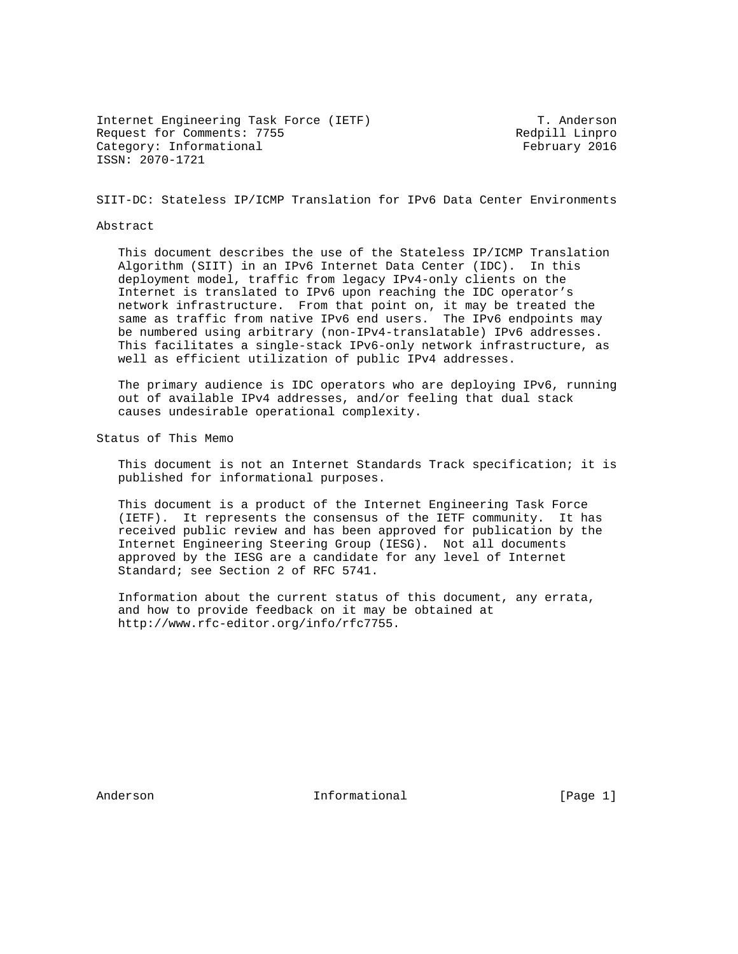Internet Engineering Task Force (IETF) T. Anderson Request for Comments: 7755 Redpill Linpro Category: Informational example of the February 2016 ISSN: 2070-1721

SIIT-DC: Stateless IP/ICMP Translation for IPv6 Data Center Environments

#### Abstract

 This document describes the use of the Stateless IP/ICMP Translation Algorithm (SIIT) in an IPv6 Internet Data Center (IDC). In this deployment model, traffic from legacy IPv4-only clients on the Internet is translated to IPv6 upon reaching the IDC operator's network infrastructure. From that point on, it may be treated the same as traffic from native IPv6 end users. The IPv6 endpoints may be numbered using arbitrary (non-IPv4-translatable) IPv6 addresses. This facilitates a single-stack IPv6-only network infrastructure, as well as efficient utilization of public IPv4 addresses.

 The primary audience is IDC operators who are deploying IPv6, running out of available IPv4 addresses, and/or feeling that dual stack causes undesirable operational complexity.

Status of This Memo

 This document is not an Internet Standards Track specification; it is published for informational purposes.

 This document is a product of the Internet Engineering Task Force (IETF). It represents the consensus of the IETF community. It has received public review and has been approved for publication by the Internet Engineering Steering Group (IESG). Not all documents approved by the IESG are a candidate for any level of Internet Standard; see Section 2 of RFC 5741.

 Information about the current status of this document, any errata, and how to provide feedback on it may be obtained at http://www.rfc-editor.org/info/rfc7755.

Anderson **Informational Informational** [Page 1]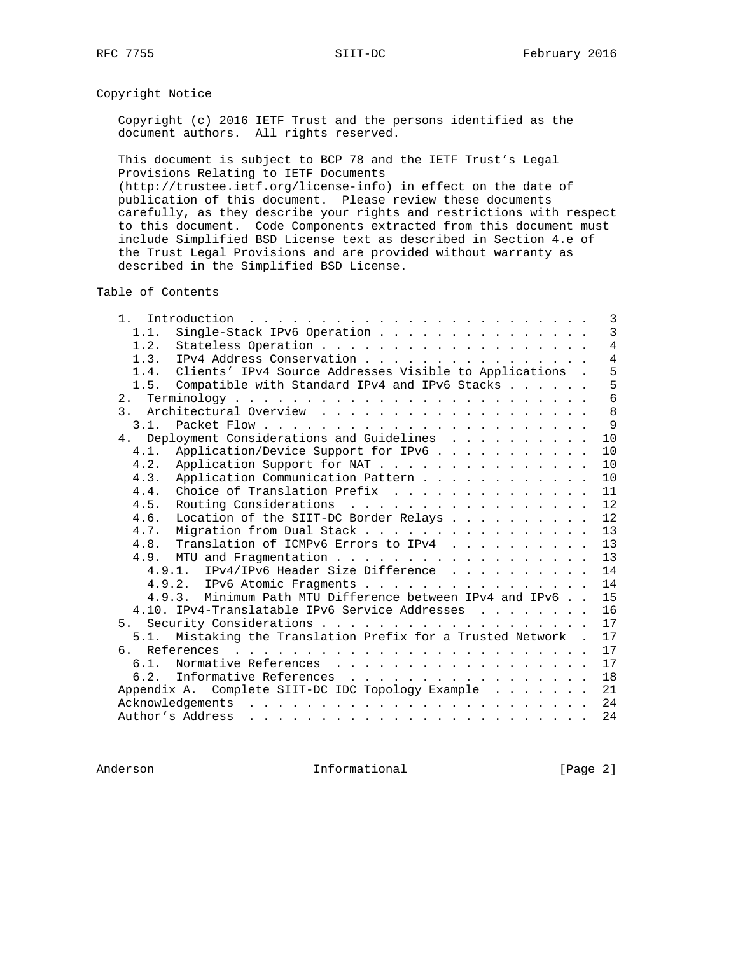# Copyright Notice

 Copyright (c) 2016 IETF Trust and the persons identified as the document authors. All rights reserved.

 This document is subject to BCP 78 and the IETF Trust's Legal Provisions Relating to IETF Documents

 (http://trustee.ietf.org/license-info) in effect on the date of publication of this document. Please review these documents carefully, as they describe your rights and restrictions with respect to this document. Code Components extracted from this document must include Simplified BSD License text as described in Section 4.e of the Trust Legal Provisions and are provided without warranty as described in the Simplified BSD License.

Table of Contents

| $1$ .          | Introduction $\ldots \ldots \ldots \ldots \ldots \ldots \ldots \ldots$<br>3 |
|----------------|-----------------------------------------------------------------------------|
| 1.1.           | $\overline{3}$<br>Single-Stack IPv6 Operation                               |
| 1.2.           | $\overline{4}$                                                              |
| 1.3.           | $\overline{4}$<br>IPv4 Address Conservation                                 |
| 1.4.           | 5<br>Clients' IPv4 Source Addresses Visible to Applications .               |
| 1.5.           | 5<br>Compatible with Standard IPv4 and IPv6 Stacks                          |
|                | 6                                                                           |
|                | 8                                                                           |
| 3.1.           | 9                                                                           |
|                | 4. Deployment Considerations and Guidelines<br>10                           |
| 4.1.           | Application/Device Support for IPv6<br>10                                   |
| 4.2.           | 10<br>Application Support for NAT                                           |
| 4.3.           | Application Communication Pattern<br>10                                     |
| 4.4.           | Choice of Translation Prefix<br>11                                          |
| 4.5.           | 12<br>Routing Considerations                                                |
| 4.6.           | Location of the SIIT-DC Border Relays<br>12                                 |
| 4.7.           | 13<br>Migration from Dual Stack                                             |
|                | 4.8. Translation of ICMPv6 Errors to IPv4<br>13                             |
|                | 13                                                                          |
|                | 4.9.1. IPv4/IPv6 Header Size Difference<br>14                               |
|                | 14<br>4.9.2. IPv6 Atomic Fragments                                          |
|                | 4.9.3. Minimum Path MTU Difference between IPv4 and IPv6<br>15              |
|                | 16<br>4.10. IPv4-Translatable IPv6 Service Addresses                        |
| 5 <sub>1</sub> | 17                                                                          |
|                | 5.1. Mistaking the Translation Prefix for a Trusted Network .<br>17         |
| რ. —           | 17                                                                          |
|                | 17<br>6.1. Normative References                                             |
|                | 18<br>6.2. Informative References                                           |
|                | 21<br>Appendix A. Complete SIIT-DC IDC Topology Example                     |
|                | 24                                                                          |
|                | Author's Address<br>24                                                      |
|                |                                                                             |

Anderson **Informational Informational** [Page 2]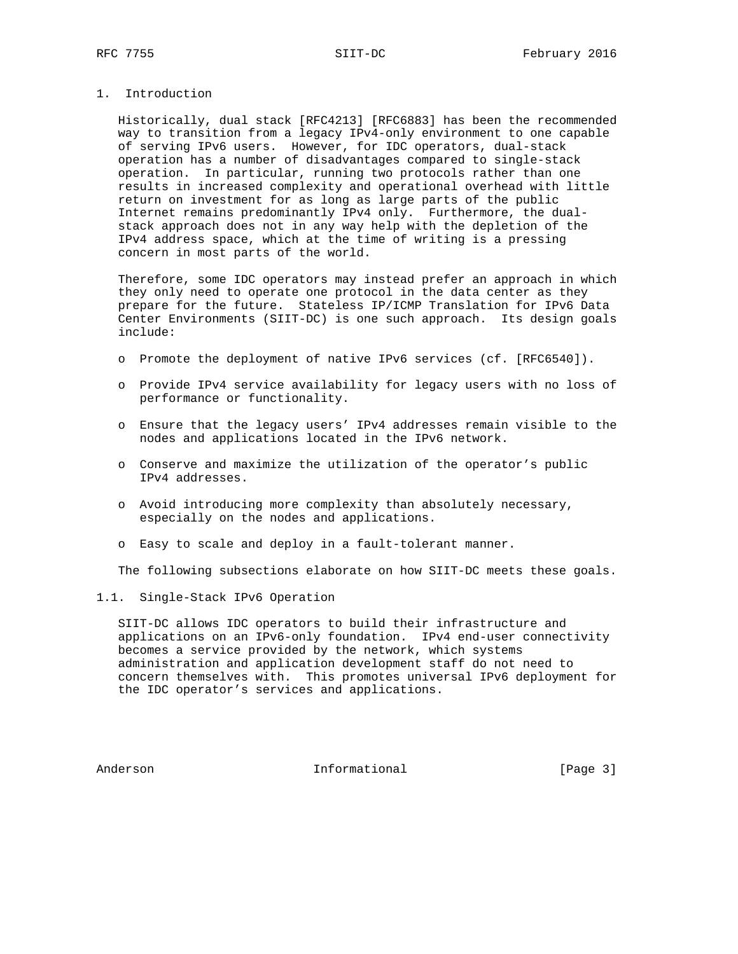## 1. Introduction

 Historically, dual stack [RFC4213] [RFC6883] has been the recommended way to transition from a legacy IPv4-only environment to one capable of serving IPv6 users. However, for IDC operators, dual-stack operation has a number of disadvantages compared to single-stack operation. In particular, running two protocols rather than one results in increased complexity and operational overhead with little return on investment for as long as large parts of the public Internet remains predominantly IPv4 only. Furthermore, the dual stack approach does not in any way help with the depletion of the IPv4 address space, which at the time of writing is a pressing concern in most parts of the world.

 Therefore, some IDC operators may instead prefer an approach in which they only need to operate one protocol in the data center as they prepare for the future. Stateless IP/ICMP Translation for IPv6 Data Center Environments (SIIT-DC) is one such approach. Its design goals include:

- o Promote the deployment of native IPv6 services (cf. [RFC6540]).
- o Provide IPv4 service availability for legacy users with no loss of performance or functionality.
- o Ensure that the legacy users' IPv4 addresses remain visible to the nodes and applications located in the IPv6 network.
- o Conserve and maximize the utilization of the operator's public IPv4 addresses.
- o Avoid introducing more complexity than absolutely necessary, especially on the nodes and applications.
- o Easy to scale and deploy in a fault-tolerant manner.

The following subsections elaborate on how SIIT-DC meets these goals.

## 1.1. Single-Stack IPv6 Operation

 SIIT-DC allows IDC operators to build their infrastructure and applications on an IPv6-only foundation. IPv4 end-user connectivity becomes a service provided by the network, which systems administration and application development staff do not need to concern themselves with. This promotes universal IPv6 deployment for the IDC operator's services and applications.

Anderson **Informational Informational** [Page 3]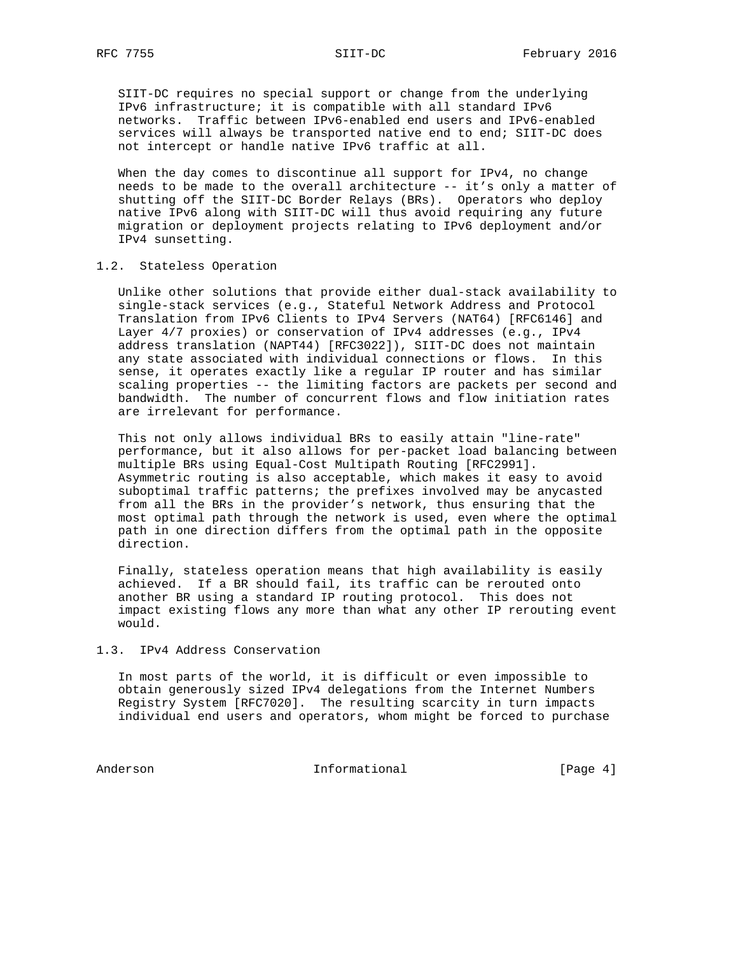SIIT-DC requires no special support or change from the underlying IPv6 infrastructure; it is compatible with all standard IPv6 networks. Traffic between IPv6-enabled end users and IPv6-enabled services will always be transported native end to end; SIIT-DC does not intercept or handle native IPv6 traffic at all.

 When the day comes to discontinue all support for IPv4, no change needs to be made to the overall architecture -- it's only a matter of shutting off the SIIT-DC Border Relays (BRs). Operators who deploy native IPv6 along with SIIT-DC will thus avoid requiring any future migration or deployment projects relating to IPv6 deployment and/or IPv4 sunsetting.

#### 1.2. Stateless Operation

 Unlike other solutions that provide either dual-stack availability to single-stack services (e.g., Stateful Network Address and Protocol Translation from IPv6 Clients to IPv4 Servers (NAT64) [RFC6146] and Layer 4/7 proxies) or conservation of IPv4 addresses (e.g., IPv4 address translation (NAPT44) [RFC3022]), SIIT-DC does not maintain any state associated with individual connections or flows. In this sense, it operates exactly like a regular IP router and has similar scaling properties -- the limiting factors are packets per second and bandwidth. The number of concurrent flows and flow initiation rates are irrelevant for performance.

 This not only allows individual BRs to easily attain "line-rate" performance, but it also allows for per-packet load balancing between multiple BRs using Equal-Cost Multipath Routing [RFC2991]. Asymmetric routing is also acceptable, which makes it easy to avoid suboptimal traffic patterns; the prefixes involved may be anycasted from all the BRs in the provider's network, thus ensuring that the most optimal path through the network is used, even where the optimal path in one direction differs from the optimal path in the opposite direction.

 Finally, stateless operation means that high availability is easily achieved. If a BR should fail, its traffic can be rerouted onto another BR using a standard IP routing protocol. This does not impact existing flows any more than what any other IP rerouting event would.

### 1.3. IPv4 Address Conservation

 In most parts of the world, it is difficult or even impossible to obtain generously sized IPv4 delegations from the Internet Numbers Registry System [RFC7020]. The resulting scarcity in turn impacts individual end users and operators, whom might be forced to purchase

Anderson Informational [Page 4]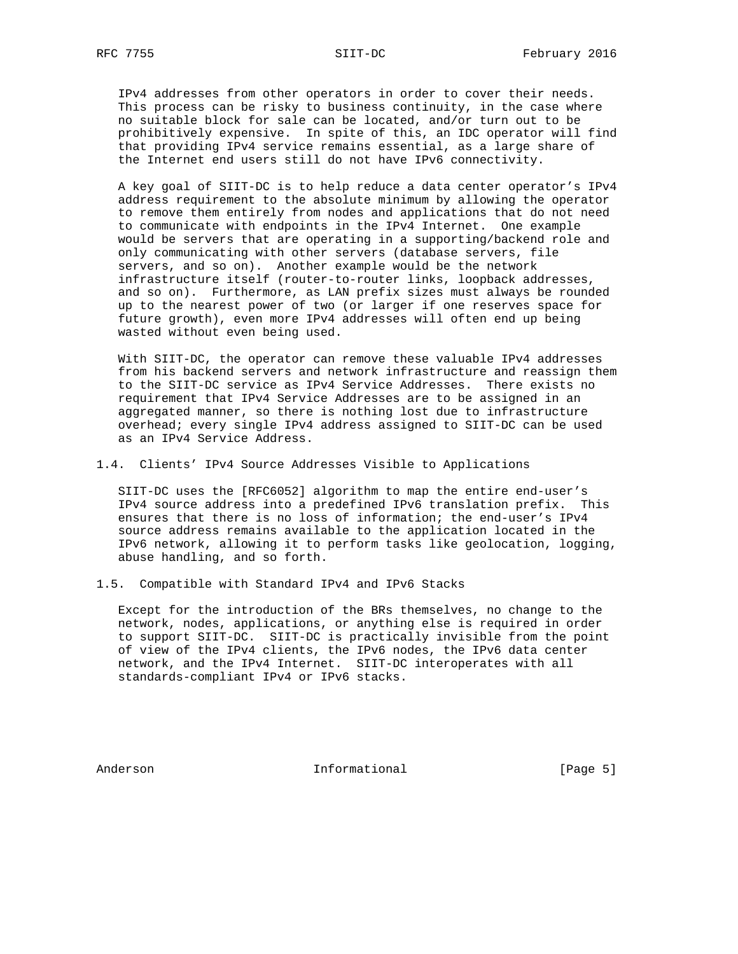IPv4 addresses from other operators in order to cover their needs. This process can be risky to business continuity, in the case where no suitable block for sale can be located, and/or turn out to be prohibitively expensive. In spite of this, an IDC operator will find that providing IPv4 service remains essential, as a large share of the Internet end users still do not have IPv6 connectivity.

 A key goal of SIIT-DC is to help reduce a data center operator's IPv4 address requirement to the absolute minimum by allowing the operator to remove them entirely from nodes and applications that do not need to communicate with endpoints in the IPv4 Internet. One example would be servers that are operating in a supporting/backend role and only communicating with other servers (database servers, file servers, and so on). Another example would be the network infrastructure itself (router-to-router links, loopback addresses, and so on). Furthermore, as LAN prefix sizes must always be rounded up to the nearest power of two (or larger if one reserves space for future growth), even more IPv4 addresses will often end up being wasted without even being used.

With SIIT-DC, the operator can remove these valuable IPv4 addresses from his backend servers and network infrastructure and reassign them to the SIIT-DC service as IPv4 Service Addresses. There exists no requirement that IPv4 Service Addresses are to be assigned in an aggregated manner, so there is nothing lost due to infrastructure overhead; every single IPv4 address assigned to SIIT-DC can be used as an IPv4 Service Address.

1.4. Clients' IPv4 Source Addresses Visible to Applications

 SIIT-DC uses the [RFC6052] algorithm to map the entire end-user's IPv4 source address into a predefined IPv6 translation prefix. This ensures that there is no loss of information; the end-user's IPv4 source address remains available to the application located in the IPv6 network, allowing it to perform tasks like geolocation, logging, abuse handling, and so forth.

1.5. Compatible with Standard IPv4 and IPv6 Stacks

 Except for the introduction of the BRs themselves, no change to the network, nodes, applications, or anything else is required in order to support SIIT-DC. SIIT-DC is practically invisible from the point of view of the IPv4 clients, the IPv6 nodes, the IPv6 data center network, and the IPv4 Internet. SIIT-DC interoperates with all standards-compliant IPv4 or IPv6 stacks.

Anderson **Informational Informational** [Page 5]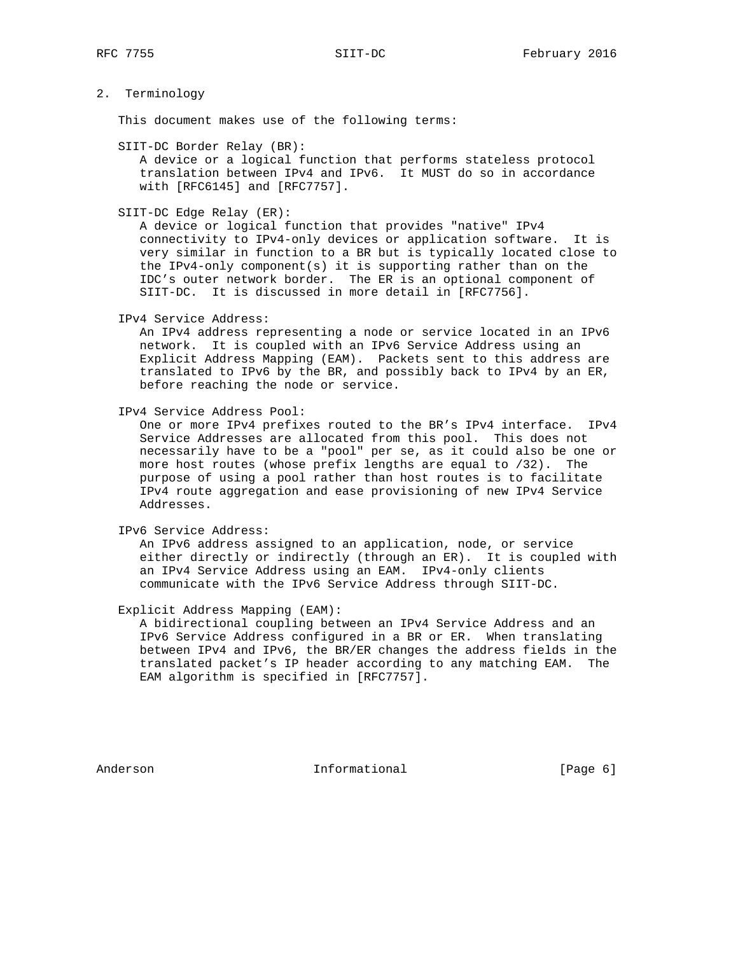## 2. Terminology

This document makes use of the following terms:

SIIT-DC Border Relay (BR):

 A device or a logical function that performs stateless protocol translation between IPv4 and IPv6. It MUST do so in accordance with [RFC6145] and [RFC7757].

SIIT-DC Edge Relay (ER):

 A device or logical function that provides "native" IPv4 connectivity to IPv4-only devices or application software. It is very similar in function to a BR but is typically located close to the IPv4-only component(s) it is supporting rather than on the IDC's outer network border. The ER is an optional component of SIIT-DC. It is discussed in more detail in [RFC7756].

IPv4 Service Address:

 An IPv4 address representing a node or service located in an IPv6 network. It is coupled with an IPv6 Service Address using an Explicit Address Mapping (EAM). Packets sent to this address are translated to IPv6 by the BR, and possibly back to IPv4 by an ER, before reaching the node or service.

IPv4 Service Address Pool:

 One or more IPv4 prefixes routed to the BR's IPv4 interface. IPv4 Service Addresses are allocated from this pool. This does not necessarily have to be a "pool" per se, as it could also be one or more host routes (whose prefix lengths are equal to /32). The purpose of using a pool rather than host routes is to facilitate IPv4 route aggregation and ease provisioning of new IPv4 Service Addresses.

IPv6 Service Address:

 An IPv6 address assigned to an application, node, or service either directly or indirectly (through an ER). It is coupled with an IPv4 Service Address using an EAM. IPv4-only clients communicate with the IPv6 Service Address through SIIT-DC.

Explicit Address Mapping (EAM):

 A bidirectional coupling between an IPv4 Service Address and an IPv6 Service Address configured in a BR or ER. When translating between IPv4 and IPv6, the BR/ER changes the address fields in the translated packet's IP header according to any matching EAM. The EAM algorithm is specified in [RFC7757].

Anderson **Informational Informational** [Page 6]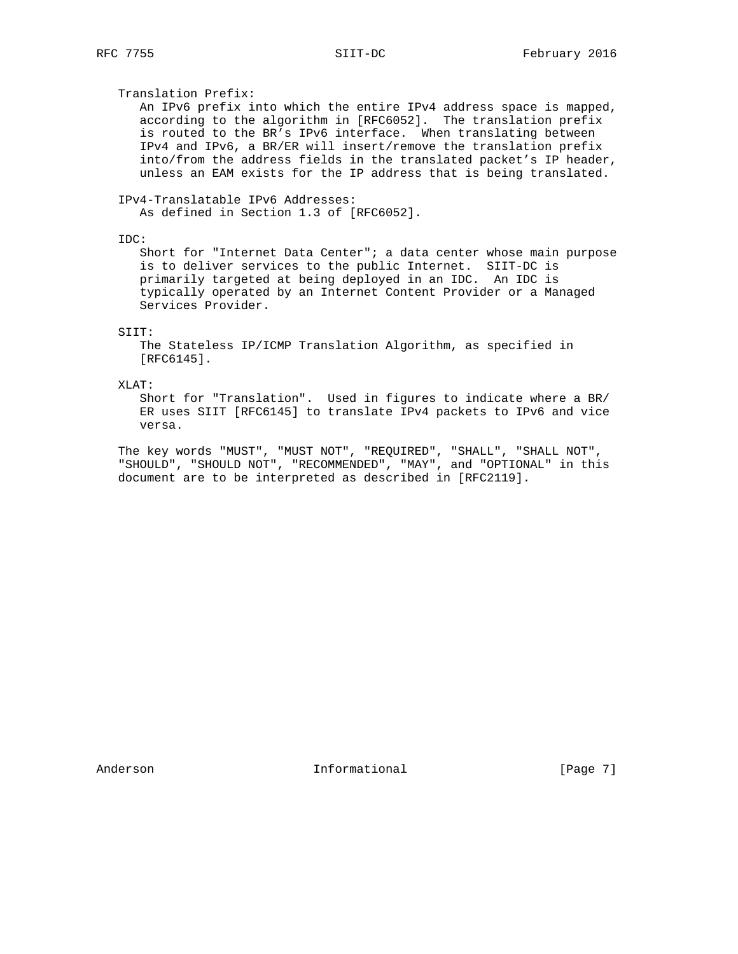Translation Prefix:

 An IPv6 prefix into which the entire IPv4 address space is mapped, according to the algorithm in [RFC6052]. The translation prefix is routed to the BR's IPv6 interface. When translating between IPv4 and IPv6, a BR/ER will insert/remove the translation prefix into/from the address fields in the translated packet's IP header, unless an EAM exists for the IP address that is being translated.

IPv4-Translatable IPv6 Addresses:

As defined in Section 1.3 of [RFC6052].

IDC:

 Short for "Internet Data Center"; a data center whose main purpose is to deliver services to the public Internet. SIIT-DC is primarily targeted at being deployed in an IDC. An IDC is typically operated by an Internet Content Provider or a Managed Services Provider.

#### SIIT:

 The Stateless IP/ICMP Translation Algorithm, as specified in [RFC6145].

XLAT:

 Short for "Translation". Used in figures to indicate where a BR/ ER uses SIIT [RFC6145] to translate IPv4 packets to IPv6 and vice versa.

 The key words "MUST", "MUST NOT", "REQUIRED", "SHALL", "SHALL NOT", "SHOULD", "SHOULD NOT", "RECOMMENDED", "MAY", and "OPTIONAL" in this document are to be interpreted as described in [RFC2119].

Anderson **Informational Informational** [Page 7]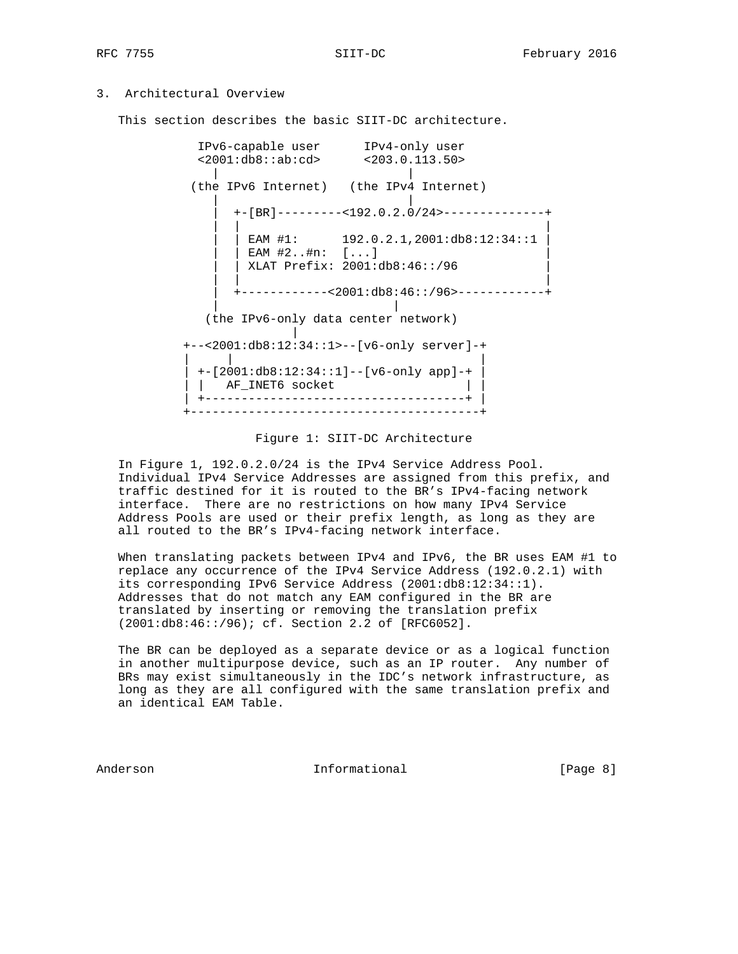## 3. Architectural Overview

This section describes the basic SIIT-DC architecture.

 IPv6-capable user IPv4-only user <2001:db8::ab:cd> <203.0.113.50> | | (the IPv6 Internet) (the IPv4 Internet) | | | +-[BR]---------<192.0.2.0/24>--------------+ | | | | | EAM #1: 192.0.2.1,2001:db8:12:34::1 |  $|$  EAM #2..#n:  $[...]$  | | XLAT Prefix: 2001:db8:46::/96 | | | | | +------------<2001:db8:46::/96>------------+ | | (the IPv6-only data center network) | +--<2001:db8:12:34::1>--[v6-only server]-+ | | | | +-[2001:db8:12:34::1]--[v6-only app]-+ | | | AF\_INET6 socket | | +------------------------------------+ | +----------------------------------------+

Figure 1: SIIT-DC Architecture

 In Figure 1, 192.0.2.0/24 is the IPv4 Service Address Pool. Individual IPv4 Service Addresses are assigned from this prefix, and traffic destined for it is routed to the BR's IPv4-facing network interface. There are no restrictions on how many IPv4 Service Address Pools are used or their prefix length, as long as they are all routed to the BR's IPv4-facing network interface.

 When translating packets between IPv4 and IPv6, the BR uses EAM #1 to replace any occurrence of the IPv4 Service Address (192.0.2.1) with its corresponding IPv6 Service Address (2001:db8:12:34::1). Addresses that do not match any EAM configured in the BR are translated by inserting or removing the translation prefix (2001:db8:46::/96); cf. Section 2.2 of [RFC6052].

 The BR can be deployed as a separate device or as a logical function in another multipurpose device, such as an IP router. Any number of BRs may exist simultaneously in the IDC's network infrastructure, as long as they are all configured with the same translation prefix and an identical EAM Table.

Anderson **Informational Informational** [Page 8]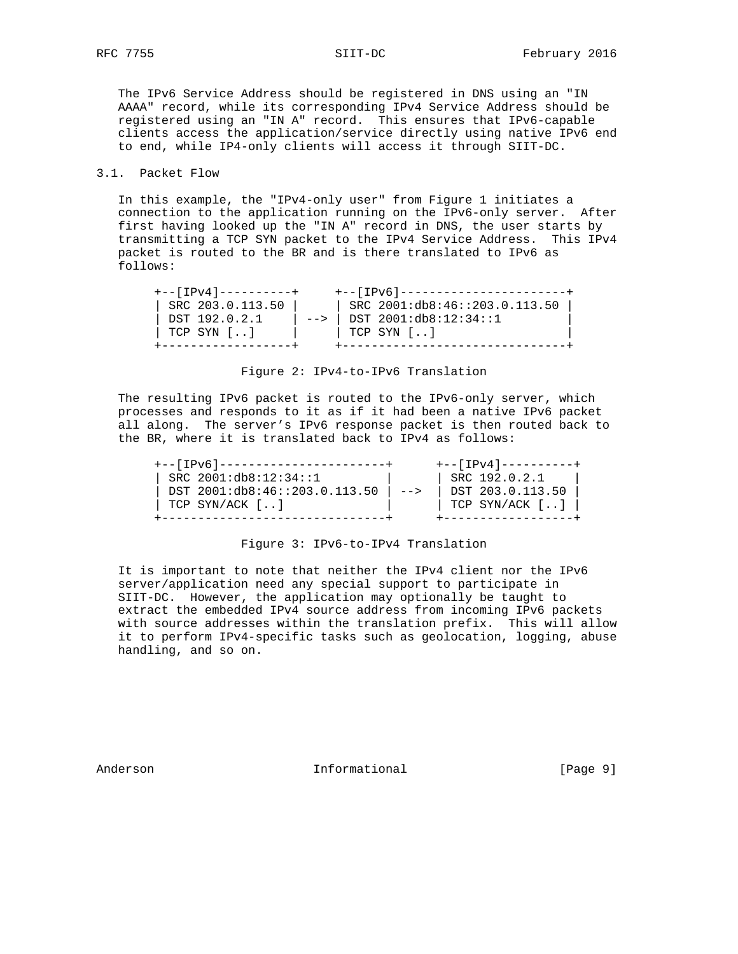The IPv6 Service Address should be registered in DNS using an "IN AAAA" record, while its corresponding IPv4 Service Address should be registered using an "IN A" record. This ensures that IPv6-capable clients access the application/service directly using native IPv6 end to end, while IP4-only clients will access it through SIIT-DC.

### 3.1. Packet Flow

 In this example, the "IPv4-only user" from Figure 1 initiates a connection to the application running on the IPv6-only server. After first having looked up the "IN A" record in DNS, the user starts by transmitting a TCP SYN packet to the IPv4 Service Address. This IPv4 packet is routed to the BR and is there translated to IPv6 as follows:

| $+ - - 11 - 4 - - - - - - - - +$ |      | +-- [IPv6]-----------------------+ |
|----------------------------------|------|------------------------------------|
| SRC 203.0.113.50                 |      | SRC 2001:db8:46::203.0.113.50      |
| DST 192.0.2.1                    | $--$ | DST 2001:db8:12:34::1              |
| TCP SYN []                       |      | TCP SYN []                         |
|                                  |      |                                    |

Figure 2: IPv4-to-IPv6 Translation

 The resulting IPv6 packet is routed to the IPv6-only server, which processes and responds to it as if it had been a native IPv6 packet all along. The server's IPv6 response packet is then routed back to the BR, where it is translated back to IPv4 as follows:

| $+ - -$ [IPv6]-----------------------+ |      | +-- [ IPv4 ] ----------+ |
|----------------------------------------|------|--------------------------|
| SRC 2001:db8:12:34:1                   |      | SRC 192.0.2.1            |
| DST 2001:db8:46::203.0.113.50          | $--$ | DST 203.0.113.50         |
| TCP SYN/ACK $[$ ]                      |      | TCP SYN/ACK []           |
|                                        |      |                          |

#### Figure 3: IPv6-to-IPv4 Translation

 It is important to note that neither the IPv4 client nor the IPv6 server/application need any special support to participate in SIIT-DC. However, the application may optionally be taught to extract the embedded IPv4 source address from incoming IPv6 packets with source addresses within the translation prefix. This will allow it to perform IPv4-specific tasks such as geolocation, logging, abuse handling, and so on.

Anderson **Informational Informational** [Page 9]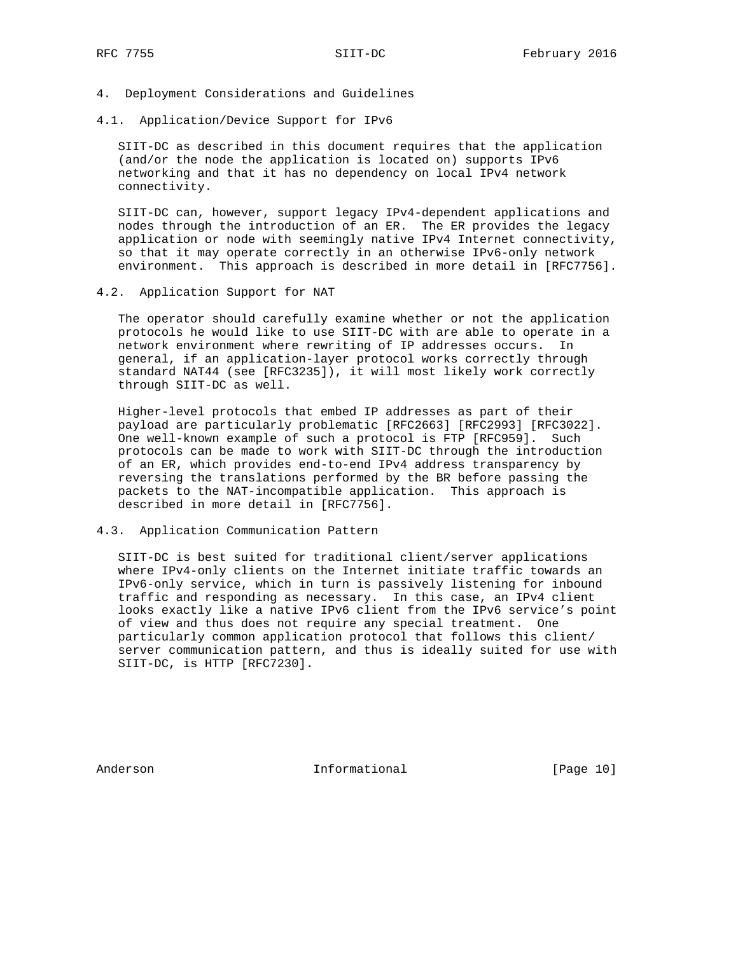- 4. Deployment Considerations and Guidelines
- 4.1. Application/Device Support for IPv6

 SIIT-DC as described in this document requires that the application (and/or the node the application is located on) supports IPv6 networking and that it has no dependency on local IPv4 network connectivity.

 SIIT-DC can, however, support legacy IPv4-dependent applications and nodes through the introduction of an ER. The ER provides the legacy application or node with seemingly native IPv4 Internet connectivity, so that it may operate correctly in an otherwise IPv6-only network environment. This approach is described in more detail in [RFC7756].

4.2. Application Support for NAT

 The operator should carefully examine whether or not the application protocols he would like to use SIIT-DC with are able to operate in a network environment where rewriting of IP addresses occurs. In general, if an application-layer protocol works correctly through standard NAT44 (see [RFC3235]), it will most likely work correctly through SIIT-DC as well.

 Higher-level protocols that embed IP addresses as part of their payload are particularly problematic [RFC2663] [RFC2993] [RFC3022]. One well-known example of such a protocol is FTP [RFC959]. Such protocols can be made to work with SIIT-DC through the introduction of an ER, which provides end-to-end IPv4 address transparency by reversing the translations performed by the BR before passing the packets to the NAT-incompatible application. This approach is described in more detail in [RFC7756].

### 4.3. Application Communication Pattern

 SIIT-DC is best suited for traditional client/server applications where IPv4-only clients on the Internet initiate traffic towards an IPv6-only service, which in turn is passively listening for inbound traffic and responding as necessary. In this case, an IPv4 client looks exactly like a native IPv6 client from the IPv6 service's point of view and thus does not require any special treatment. One particularly common application protocol that follows this client/ server communication pattern, and thus is ideally suited for use with SIIT-DC, is HTTP [RFC7230].

Anderson **Informational** [Page 10]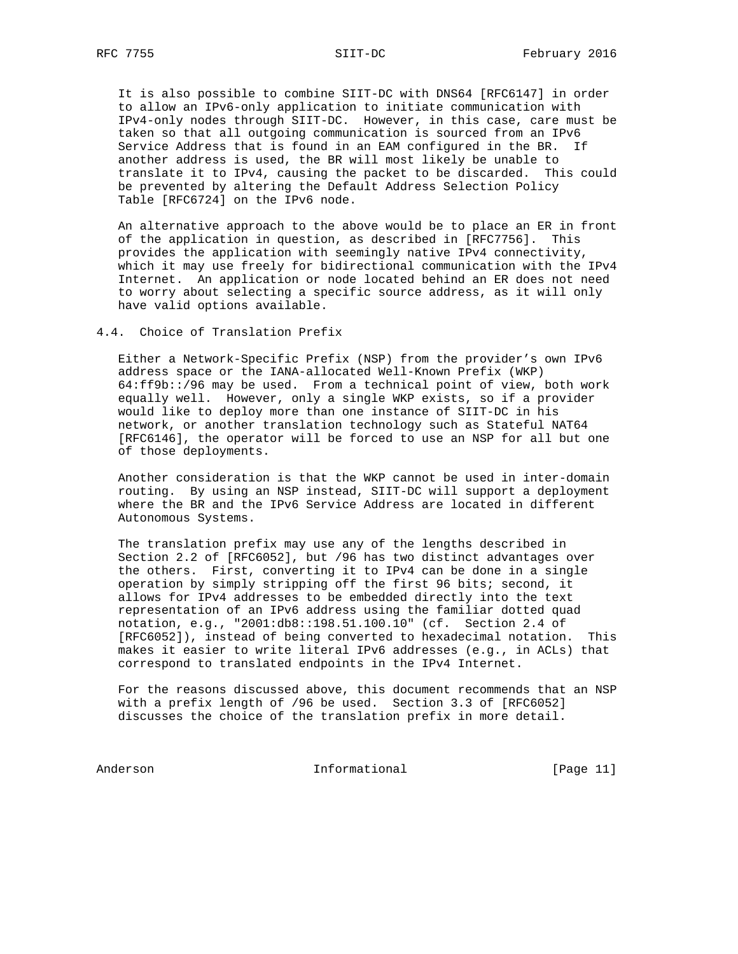It is also possible to combine SIIT-DC with DNS64 [RFC6147] in order to allow an IPv6-only application to initiate communication with IPv4-only nodes through SIIT-DC. However, in this case, care must be taken so that all outgoing communication is sourced from an IPv6 Service Address that is found in an EAM configured in the BR. If another address is used, the BR will most likely be unable to translate it to IPv4, causing the packet to be discarded. This could be prevented by altering the Default Address Selection Policy Table [RFC6724] on the IPv6 node.

 An alternative approach to the above would be to place an ER in front of the application in question, as described in [RFC7756]. This provides the application with seemingly native IPv4 connectivity, which it may use freely for bidirectional communication with the IPv4 Internet. An application or node located behind an ER does not need to worry about selecting a specific source address, as it will only have valid options available.

## 4.4. Choice of Translation Prefix

 Either a Network-Specific Prefix (NSP) from the provider's own IPv6 address space or the IANA-allocated Well-Known Prefix (WKP) 64:ff9b::/96 may be used. From a technical point of view, both work equally well. However, only a single WKP exists, so if a provider would like to deploy more than one instance of SIIT-DC in his network, or another translation technology such as Stateful NAT64 [RFC6146], the operator will be forced to use an NSP for all but one of those deployments.

 Another consideration is that the WKP cannot be used in inter-domain routing. By using an NSP instead, SIIT-DC will support a deployment where the BR and the IPv6 Service Address are located in different Autonomous Systems.

 The translation prefix may use any of the lengths described in Section 2.2 of [RFC6052], but /96 has two distinct advantages over the others. First, converting it to IPv4 can be done in a single operation by simply stripping off the first 96 bits; second, it allows for IPv4 addresses to be embedded directly into the text representation of an IPv6 address using the familiar dotted quad notation, e.g., "2001:db8::198.51.100.10" (cf. Section 2.4 of [RFC6052]), instead of being converted to hexadecimal notation. This makes it easier to write literal IPv6 addresses (e.g., in ACLs) that correspond to translated endpoints in the IPv4 Internet.

 For the reasons discussed above, this document recommends that an NSP with a prefix length of /96 be used. Section 3.3 of [RFC6052] discusses the choice of the translation prefix in more detail.

Anderson **Informational Informational** [Page 11]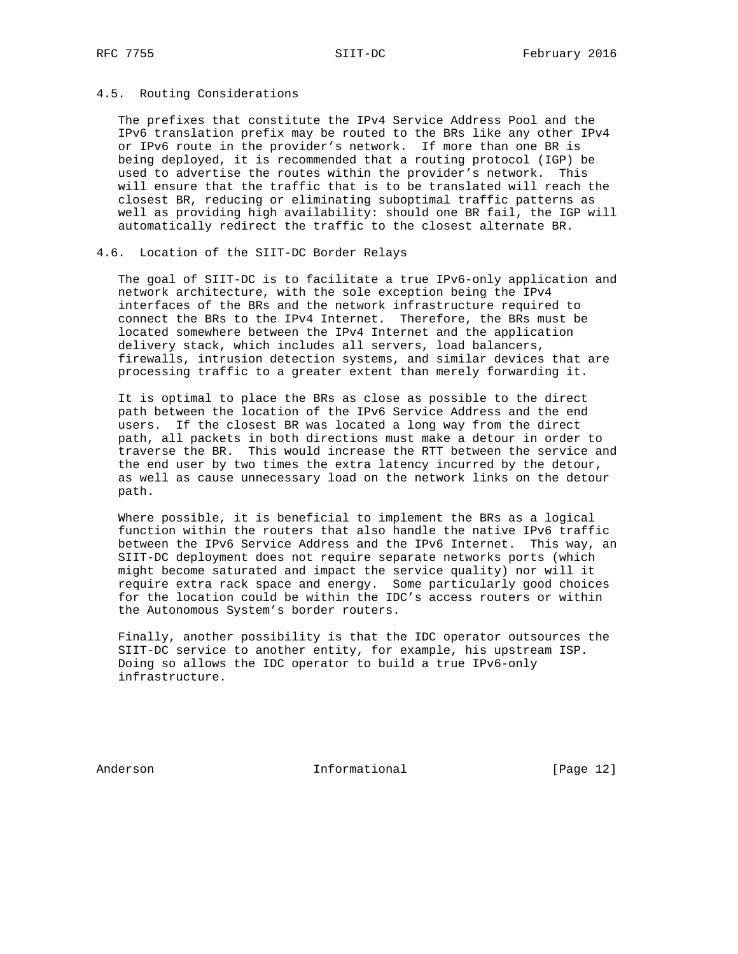#### 4.5. Routing Considerations

 The prefixes that constitute the IPv4 Service Address Pool and the IPv6 translation prefix may be routed to the BRs like any other IPv4 or IPv6 route in the provider's network. If more than one BR is being deployed, it is recommended that a routing protocol (IGP) be used to advertise the routes within the provider's network. This will ensure that the traffic that is to be translated will reach the closest BR, reducing or eliminating suboptimal traffic patterns as well as providing high availability: should one BR fail, the IGP will automatically redirect the traffic to the closest alternate BR.

# 4.6. Location of the SIIT-DC Border Relays

 The goal of SIIT-DC is to facilitate a true IPv6-only application and network architecture, with the sole exception being the IPv4 interfaces of the BRs and the network infrastructure required to connect the BRs to the IPv4 Internet. Therefore, the BRs must be located somewhere between the IPv4 Internet and the application delivery stack, which includes all servers, load balancers, firewalls, intrusion detection systems, and similar devices that are processing traffic to a greater extent than merely forwarding it.

 It is optimal to place the BRs as close as possible to the direct path between the location of the IPv6 Service Address and the end users. If the closest BR was located a long way from the direct path, all packets in both directions must make a detour in order to traverse the BR. This would increase the RTT between the service and the end user by two times the extra latency incurred by the detour, as well as cause unnecessary load on the network links on the detour path.

 Where possible, it is beneficial to implement the BRs as a logical function within the routers that also handle the native IPv6 traffic between the IPv6 Service Address and the IPv6 Internet. This way, an SIIT-DC deployment does not require separate networks ports (which might become saturated and impact the service quality) nor will it require extra rack space and energy. Some particularly good choices for the location could be within the IDC's access routers or within the Autonomous System's border routers.

 Finally, another possibility is that the IDC operator outsources the SIIT-DC service to another entity, for example, his upstream ISP. Doing so allows the IDC operator to build a true IPv6-only infrastructure.

Anderson Informational [Page 12]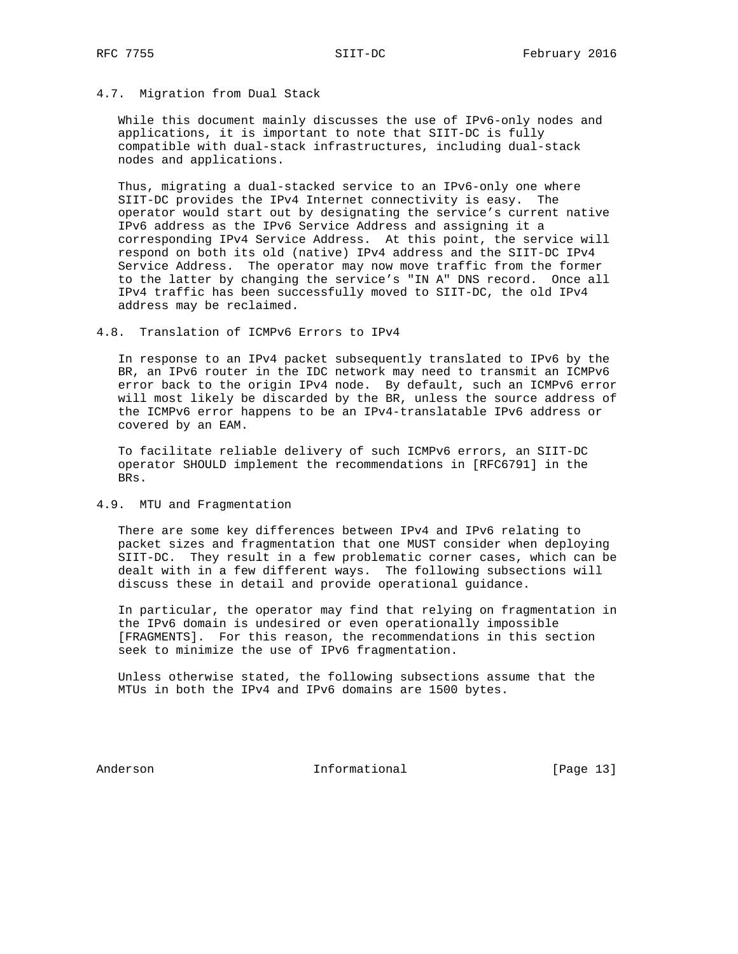## 4.7. Migration from Dual Stack

 While this document mainly discusses the use of IPv6-only nodes and applications, it is important to note that SIIT-DC is fully compatible with dual-stack infrastructures, including dual-stack nodes and applications.

 Thus, migrating a dual-stacked service to an IPv6-only one where SIIT-DC provides the IPv4 Internet connectivity is easy. The operator would start out by designating the service's current native IPv6 address as the IPv6 Service Address and assigning it a corresponding IPv4 Service Address. At this point, the service will respond on both its old (native) IPv4 address and the SIIT-DC IPv4 Service Address. The operator may now move traffic from the former to the latter by changing the service's "IN A" DNS record. Once all IPv4 traffic has been successfully moved to SIIT-DC, the old IPv4 address may be reclaimed.

#### 4.8. Translation of ICMPv6 Errors to IPv4

 In response to an IPv4 packet subsequently translated to IPv6 by the BR, an IPv6 router in the IDC network may need to transmit an ICMPv6 error back to the origin IPv4 node. By default, such an ICMPv6 error will most likely be discarded by the BR, unless the source address of the ICMPv6 error happens to be an IPv4-translatable IPv6 address or covered by an EAM.

 To facilitate reliable delivery of such ICMPv6 errors, an SIIT-DC operator SHOULD implement the recommendations in [RFC6791] in the BRs.

#### 4.9. MTU and Fragmentation

 There are some key differences between IPv4 and IPv6 relating to packet sizes and fragmentation that one MUST consider when deploying SIIT-DC. They result in a few problematic corner cases, which can be dealt with in a few different ways. The following subsections will discuss these in detail and provide operational guidance.

 In particular, the operator may find that relying on fragmentation in the IPv6 domain is undesired or even operationally impossible [FRAGMENTS]. For this reason, the recommendations in this section seek to minimize the use of IPv6 fragmentation.

 Unless otherwise stated, the following subsections assume that the MTUs in both the IPv4 and IPv6 domains are 1500 bytes.

Anderson **Informational Informational** [Page 13]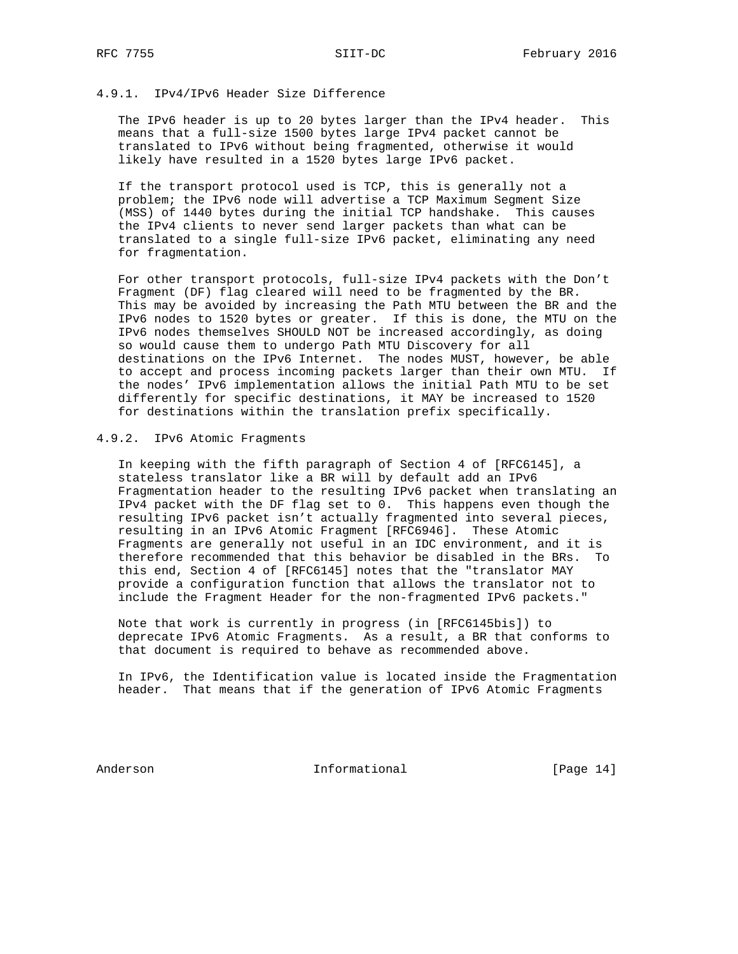## 4.9.1. IPv4/IPv6 Header Size Difference

 The IPv6 header is up to 20 bytes larger than the IPv4 header. This means that a full-size 1500 bytes large IPv4 packet cannot be translated to IPv6 without being fragmented, otherwise it would likely have resulted in a 1520 bytes large IPv6 packet.

 If the transport protocol used is TCP, this is generally not a problem; the IPv6 node will advertise a TCP Maximum Segment Size (MSS) of 1440 bytes during the initial TCP handshake. This causes the IPv4 clients to never send larger packets than what can be translated to a single full-size IPv6 packet, eliminating any need for fragmentation.

 For other transport protocols, full-size IPv4 packets with the Don't Fragment (DF) flag cleared will need to be fragmented by the BR. This may be avoided by increasing the Path MTU between the BR and the IPv6 nodes to 1520 bytes or greater. If this is done, the MTU on the IPv6 nodes themselves SHOULD NOT be increased accordingly, as doing so would cause them to undergo Path MTU Discovery for all destinations on the IPv6 Internet. The nodes MUST, however, be able to accept and process incoming packets larger than their own MTU. If the nodes' IPv6 implementation allows the initial Path MTU to be set differently for specific destinations, it MAY be increased to 1520 for destinations within the translation prefix specifically.

# 4.9.2. IPv6 Atomic Fragments

 In keeping with the fifth paragraph of Section 4 of [RFC6145], a stateless translator like a BR will by default add an IPv6 Fragmentation header to the resulting IPv6 packet when translating an IPv4 packet with the DF flag set to 0. This happens even though the resulting IPv6 packet isn't actually fragmented into several pieces, resulting in an IPv6 Atomic Fragment [RFC6946]. These Atomic Fragments are generally not useful in an IDC environment, and it is therefore recommended that this behavior be disabled in the BRs. To this end, Section 4 of [RFC6145] notes that the "translator MAY provide a configuration function that allows the translator not to include the Fragment Header for the non-fragmented IPv6 packets."

 Note that work is currently in progress (in [RFC6145bis]) to deprecate IPv6 Atomic Fragments. As a result, a BR that conforms to that document is required to behave as recommended above.

 In IPv6, the Identification value is located inside the Fragmentation header. That means that if the generation of IPv6 Atomic Fragments

Anderson **Informational** [Page 14]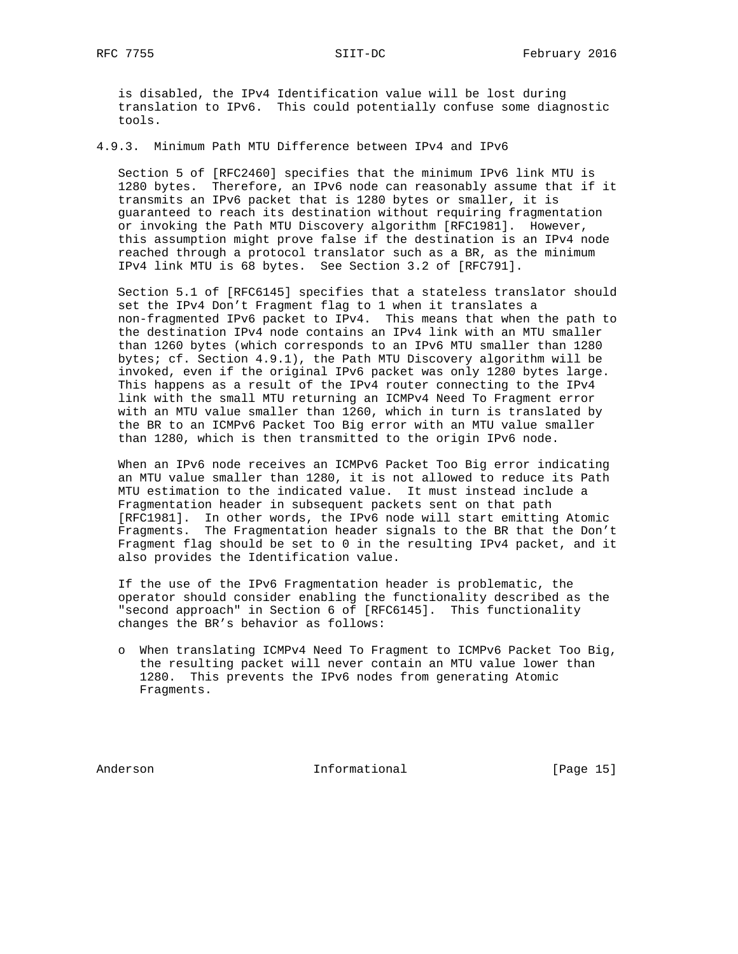is disabled, the IPv4 Identification value will be lost during translation to IPv6. This could potentially confuse some diagnostic tools.

4.9.3. Minimum Path MTU Difference between IPv4 and IPv6

 Section 5 of [RFC2460] specifies that the minimum IPv6 link MTU is 1280 bytes. Therefore, an IPv6 node can reasonably assume that if it transmits an IPv6 packet that is 1280 bytes or smaller, it is guaranteed to reach its destination without requiring fragmentation or invoking the Path MTU Discovery algorithm [RFC1981]. However, this assumption might prove false if the destination is an IPv4 node reached through a protocol translator such as a BR, as the minimum IPv4 link MTU is 68 bytes. See Section 3.2 of [RFC791].

 Section 5.1 of [RFC6145] specifies that a stateless translator should set the IPv4 Don't Fragment flag to 1 when it translates a non-fragmented IPv6 packet to IPv4. This means that when the path to the destination IPv4 node contains an IPv4 link with an MTU smaller than 1260 bytes (which corresponds to an IPv6 MTU smaller than 1280 bytes; cf. Section 4.9.1), the Path MTU Discovery algorithm will be invoked, even if the original IPv6 packet was only 1280 bytes large. This happens as a result of the IPv4 router connecting to the IPv4 link with the small MTU returning an ICMPv4 Need To Fragment error with an MTU value smaller than 1260, which in turn is translated by the BR to an ICMPv6 Packet Too Big error with an MTU value smaller than 1280, which is then transmitted to the origin IPv6 node.

 When an IPv6 node receives an ICMPv6 Packet Too Big error indicating an MTU value smaller than 1280, it is not allowed to reduce its Path MTU estimation to the indicated value. It must instead include a Fragmentation header in subsequent packets sent on that path [RFC1981]. In other words, the IPv6 node will start emitting Atomic Fragments. The Fragmentation header signals to the BR that the Don't Fragment flag should be set to 0 in the resulting IPv4 packet, and it also provides the Identification value.

 If the use of the IPv6 Fragmentation header is problematic, the operator should consider enabling the functionality described as the "second approach" in Section 6 of [RFC6145]. This functionality changes the BR's behavior as follows:

 o When translating ICMPv4 Need To Fragment to ICMPv6 Packet Too Big, the resulting packet will never contain an MTU value lower than 1280. This prevents the IPv6 nodes from generating Atomic Fragments.

Anderson **Informational Informational** [Page 15]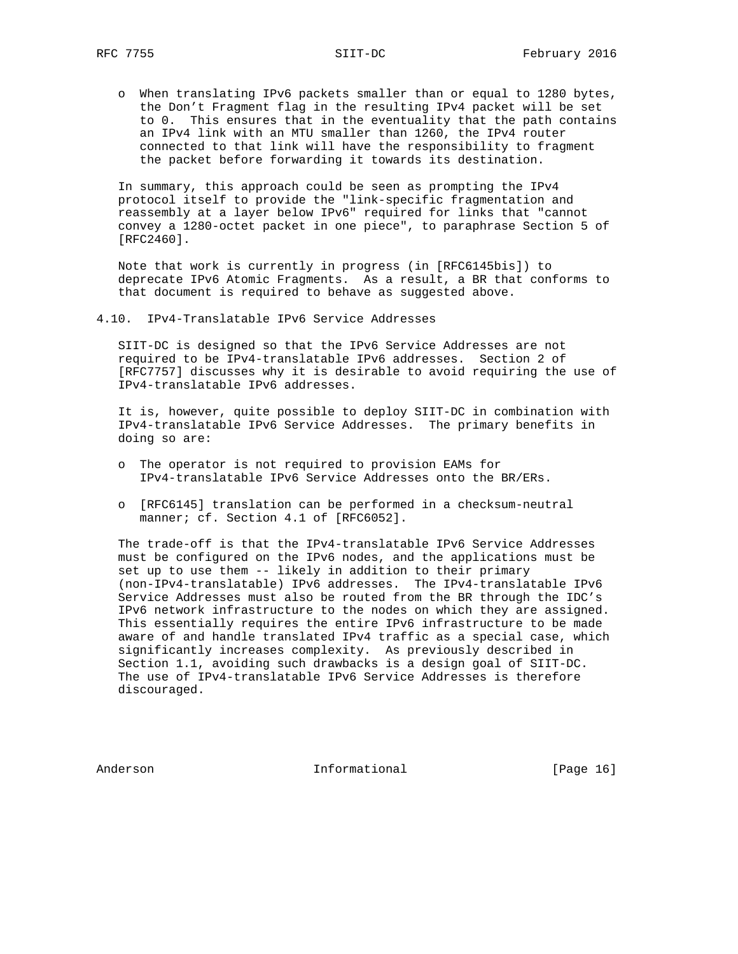o When translating IPv6 packets smaller than or equal to 1280 bytes, the Don't Fragment flag in the resulting IPv4 packet will be set to 0. This ensures that in the eventuality that the path contains an IPv4 link with an MTU smaller than 1260, the IPv4 router connected to that link will have the responsibility to fragment the packet before forwarding it towards its destination.

 In summary, this approach could be seen as prompting the IPv4 protocol itself to provide the "link-specific fragmentation and reassembly at a layer below IPv6" required for links that "cannot convey a 1280-octet packet in one piece", to paraphrase Section 5 of [RFC2460].

 Note that work is currently in progress (in [RFC6145bis]) to deprecate IPv6 Atomic Fragments. As a result, a BR that conforms to that document is required to behave as suggested above.

4.10. IPv4-Translatable IPv6 Service Addresses

 SIIT-DC is designed so that the IPv6 Service Addresses are not required to be IPv4-translatable IPv6 addresses. Section 2 of [RFC7757] discusses why it is desirable to avoid requiring the use of IPv4-translatable IPv6 addresses.

 It is, however, quite possible to deploy SIIT-DC in combination with IPv4-translatable IPv6 Service Addresses. The primary benefits in doing so are:

- o The operator is not required to provision EAMs for IPv4-translatable IPv6 Service Addresses onto the BR/ERs.
- o [RFC6145] translation can be performed in a checksum-neutral manner; cf. Section 4.1 of [RFC6052].

 The trade-off is that the IPv4-translatable IPv6 Service Addresses must be configured on the IPv6 nodes, and the applications must be set up to use them -- likely in addition to their primary (non-IPv4-translatable) IPv6 addresses. The IPv4-translatable IPv6 Service Addresses must also be routed from the BR through the IDC's IPv6 network infrastructure to the nodes on which they are assigned. This essentially requires the entire IPv6 infrastructure to be made aware of and handle translated IPv4 traffic as a special case, which significantly increases complexity. As previously described in Section 1.1, avoiding such drawbacks is a design goal of SIIT-DC. The use of IPv4-translatable IPv6 Service Addresses is therefore discouraged.

Anderson **Informational** [Page 16]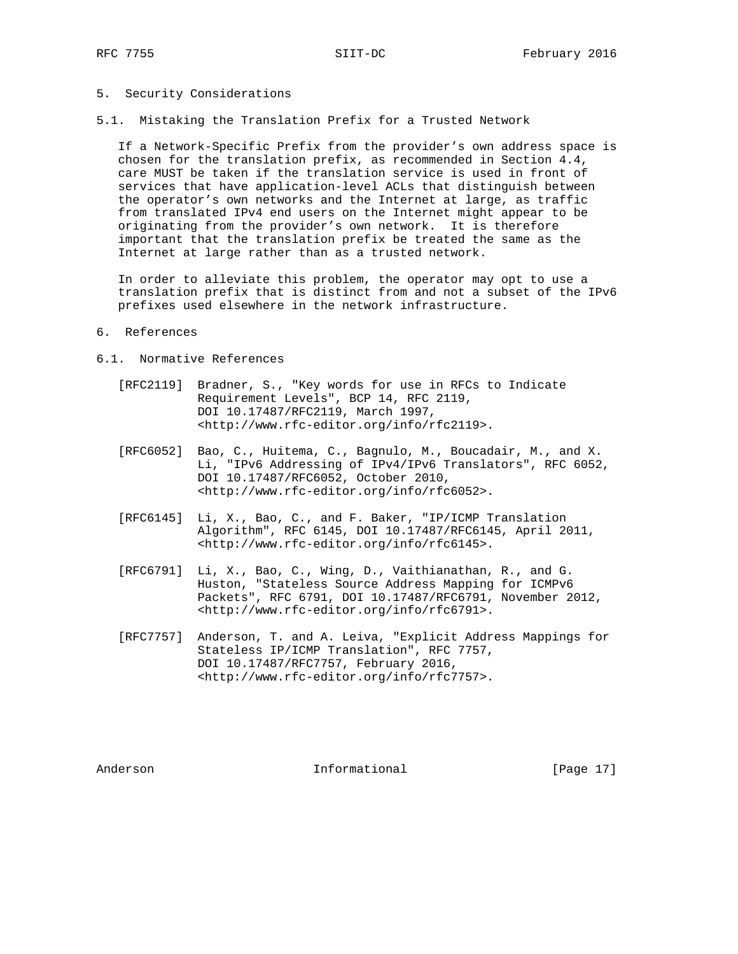## 5. Security Considerations

5.1. Mistaking the Translation Prefix for a Trusted Network

 If a Network-Specific Prefix from the provider's own address space is chosen for the translation prefix, as recommended in Section 4.4, care MUST be taken if the translation service is used in front of services that have application-level ACLs that distinguish between the operator's own networks and the Internet at large, as traffic from translated IPv4 end users on the Internet might appear to be originating from the provider's own network. It is therefore important that the translation prefix be treated the same as the Internet at large rather than as a trusted network.

 In order to alleviate this problem, the operator may opt to use a translation prefix that is distinct from and not a subset of the IPv6 prefixes used elsewhere in the network infrastructure.

#### 6. References

- 6.1. Normative References
	- [RFC2119] Bradner, S., "Key words for use in RFCs to Indicate Requirement Levels", BCP 14, RFC 2119, DOI 10.17487/RFC2119, March 1997, <http://www.rfc-editor.org/info/rfc2119>.
	- [RFC6052] Bao, C., Huitema, C., Bagnulo, M., Boucadair, M., and X. Li, "IPv6 Addressing of IPv4/IPv6 Translators", RFC 6052, DOI 10.17487/RFC6052, October 2010, <http://www.rfc-editor.org/info/rfc6052>.
	- [RFC6145] Li, X., Bao, C., and F. Baker, "IP/ICMP Translation Algorithm", RFC 6145, DOI 10.17487/RFC6145, April 2011, <http://www.rfc-editor.org/info/rfc6145>.
	- [RFC6791] Li, X., Bao, C., Wing, D., Vaithianathan, R., and G. Huston, "Stateless Source Address Mapping for ICMPv6 Packets", RFC 6791, DOI 10.17487/RFC6791, November 2012, <http://www.rfc-editor.org/info/rfc6791>.
	- [RFC7757] Anderson, T. and A. Leiva, "Explicit Address Mappings for Stateless IP/ICMP Translation", RFC 7757, DOI 10.17487/RFC7757, February 2016, <http://www.rfc-editor.org/info/rfc7757>.

Anderson **Informational Informational** [Page 17]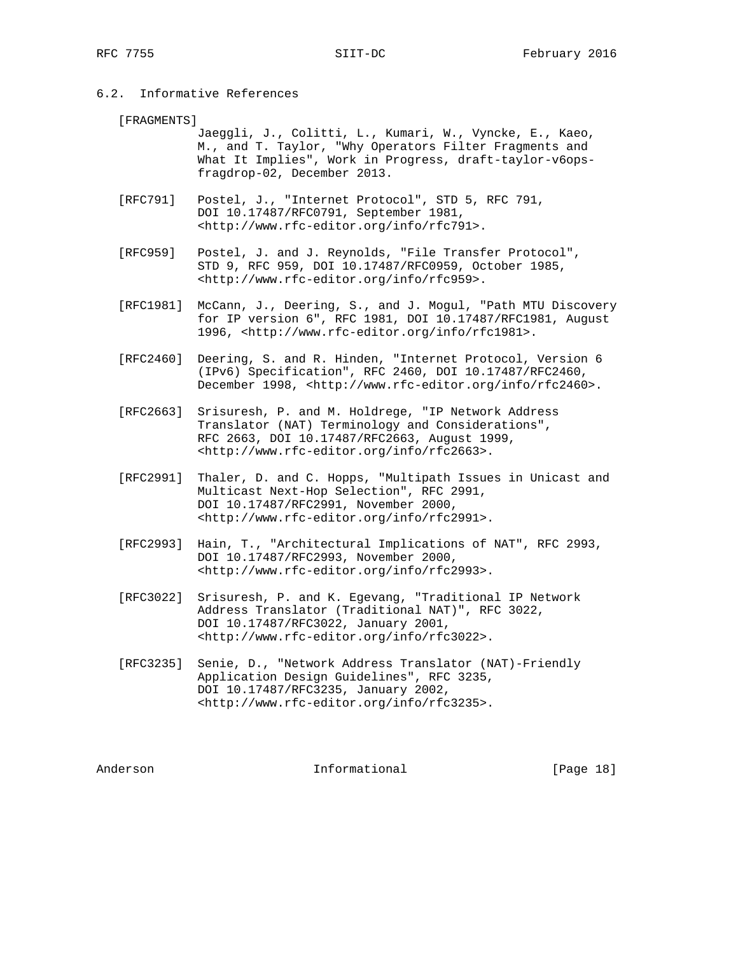# 6.2. Informative References

#### [FRAGMENTS]

 Jaeggli, J., Colitti, L., Kumari, W., Vyncke, E., Kaeo, M., and T. Taylor, "Why Operators Filter Fragments and What It Implies", Work in Progress, draft-taylor-v6ops fragdrop-02, December 2013.

- [RFC791] Postel, J., "Internet Protocol", STD 5, RFC 791, DOI 10.17487/RFC0791, September 1981, <http://www.rfc-editor.org/info/rfc791>.
- [RFC959] Postel, J. and J. Reynolds, "File Transfer Protocol", STD 9, RFC 959, DOI 10.17487/RFC0959, October 1985, <http://www.rfc-editor.org/info/rfc959>.
- [RFC1981] McCann, J., Deering, S., and J. Mogul, "Path MTU Discovery for IP version 6", RFC 1981, DOI 10.17487/RFC1981, August 1996, <http://www.rfc-editor.org/info/rfc1981>.
- [RFC2460] Deering, S. and R. Hinden, "Internet Protocol, Version 6 (IPv6) Specification", RFC 2460, DOI 10.17487/RFC2460, December 1998, <http://www.rfc-editor.org/info/rfc2460>.
- [RFC2663] Srisuresh, P. and M. Holdrege, "IP Network Address Translator (NAT) Terminology and Considerations", RFC 2663, DOI 10.17487/RFC2663, August 1999, <http://www.rfc-editor.org/info/rfc2663>.
- [RFC2991] Thaler, D. and C. Hopps, "Multipath Issues in Unicast and Multicast Next-Hop Selection", RFC 2991, DOI 10.17487/RFC2991, November 2000, <http://www.rfc-editor.org/info/rfc2991>.
- [RFC2993] Hain, T., "Architectural Implications of NAT", RFC 2993, DOI 10.17487/RFC2993, November 2000, <http://www.rfc-editor.org/info/rfc2993>.
- [RFC3022] Srisuresh, P. and K. Egevang, "Traditional IP Network Address Translator (Traditional NAT)", RFC 3022, DOI 10.17487/RFC3022, January 2001, <http://www.rfc-editor.org/info/rfc3022>.
- [RFC3235] Senie, D., "Network Address Translator (NAT)-Friendly Application Design Guidelines", RFC 3235, DOI 10.17487/RFC3235, January 2002, <http://www.rfc-editor.org/info/rfc3235>.

Anderson **Informational** [Page 18]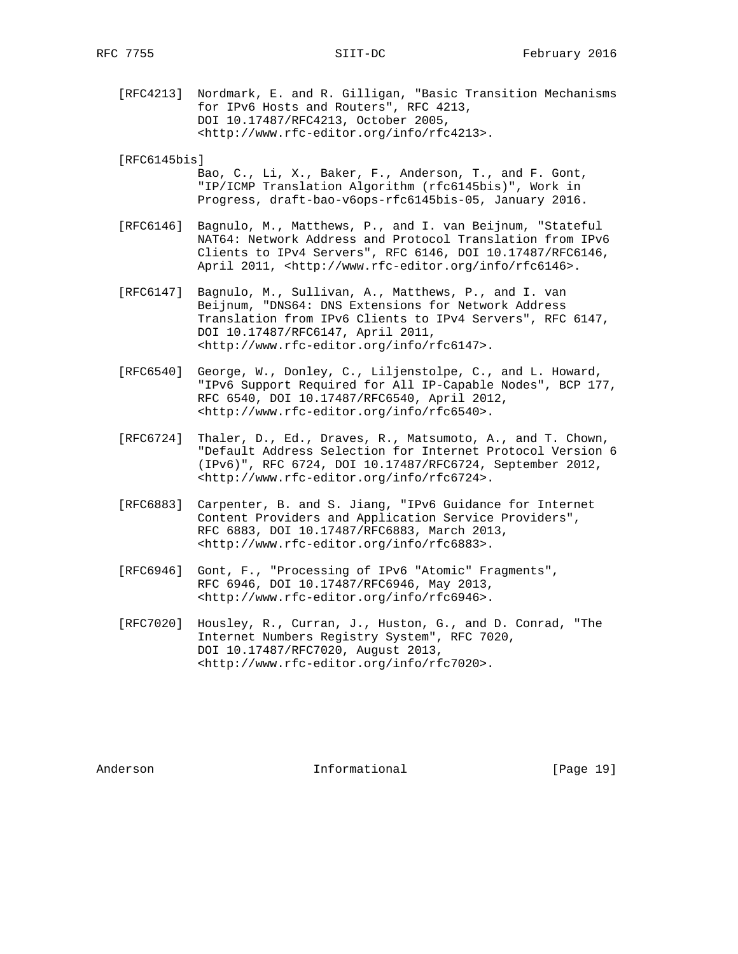[RFC4213] Nordmark, E. and R. Gilligan, "Basic Transition Mechanisms for IPv6 Hosts and Routers", RFC 4213, DOI 10.17487/RFC4213, October 2005, <http://www.rfc-editor.org/info/rfc4213>.

[RFC6145bis]

- Bao, C., Li, X., Baker, F., Anderson, T., and F. Gont, "IP/ICMP Translation Algorithm (rfc6145bis)", Work in Progress, draft-bao-v6ops-rfc6145bis-05, January 2016.
- [RFC6146] Bagnulo, M., Matthews, P., and I. van Beijnum, "Stateful NAT64: Network Address and Protocol Translation from IPv6 Clients to IPv4 Servers", RFC 6146, DOI 10.17487/RFC6146, April 2011, <http://www.rfc-editor.org/info/rfc6146>.
- [RFC6147] Bagnulo, M., Sullivan, A., Matthews, P., and I. van Beijnum, "DNS64: DNS Extensions for Network Address Translation from IPv6 Clients to IPv4 Servers", RFC 6147, DOI 10.17487/RFC6147, April 2011, <http://www.rfc-editor.org/info/rfc6147>.
- [RFC6540] George, W., Donley, C., Liljenstolpe, C., and L. Howard, "IPv6 Support Required for All IP-Capable Nodes", BCP 177, RFC 6540, DOI 10.17487/RFC6540, April 2012, <http://www.rfc-editor.org/info/rfc6540>.
- [RFC6724] Thaler, D., Ed., Draves, R., Matsumoto, A., and T. Chown, "Default Address Selection for Internet Protocol Version 6 (IPv6)", RFC 6724, DOI 10.17487/RFC6724, September 2012, <http://www.rfc-editor.org/info/rfc6724>.
- [RFC6883] Carpenter, B. and S. Jiang, "IPv6 Guidance for Internet Content Providers and Application Service Providers", RFC 6883, DOI 10.17487/RFC6883, March 2013, <http://www.rfc-editor.org/info/rfc6883>.
- [RFC6946] Gont, F., "Processing of IPv6 "Atomic" Fragments", RFC 6946, DOI 10.17487/RFC6946, May 2013, <http://www.rfc-editor.org/info/rfc6946>.
- [RFC7020] Housley, R., Curran, J., Huston, G., and D. Conrad, "The Internet Numbers Registry System", RFC 7020, DOI 10.17487/RFC7020, August 2013, <http://www.rfc-editor.org/info/rfc7020>.

Anderson **Informational** [Page 19]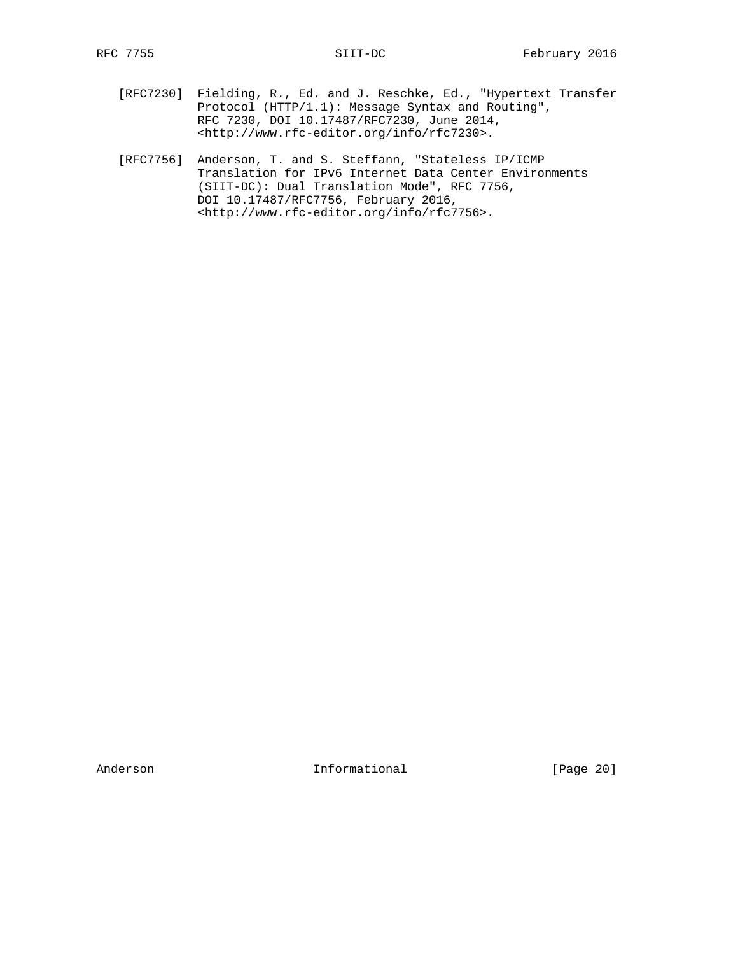- [RFC7230] Fielding, R., Ed. and J. Reschke, Ed., "Hypertext Transfer Protocol (HTTP/1.1): Message Syntax and Routing", RFC 7230, DOI 10.17487/RFC7230, June 2014, <http://www.rfc-editor.org/info/rfc7230>.
- [RFC7756] Anderson, T. and S. Steffann, "Stateless IP/ICMP Translation for IPv6 Internet Data Center Environments (SIIT-DC): Dual Translation Mode", RFC 7756, DOI 10.17487/RFC7756, February 2016, <http://www.rfc-editor.org/info/rfc7756>.

Anderson Informational [Page 20]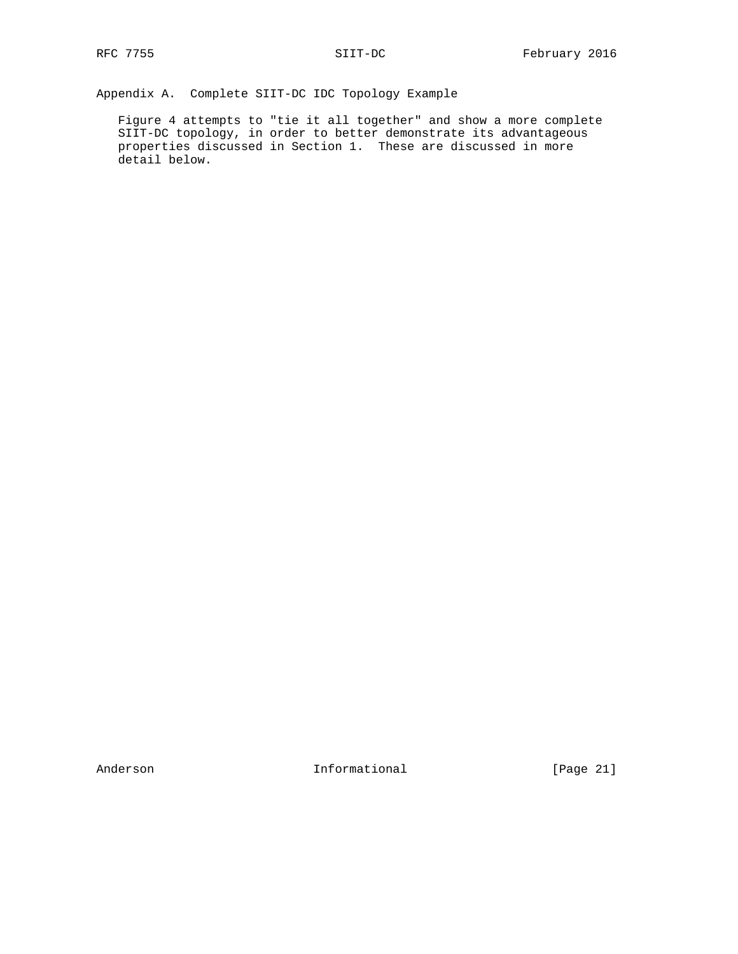Appendix A. Complete SIIT-DC IDC Topology Example

 Figure 4 attempts to "tie it all together" and show a more complete SIIT-DC topology, in order to better demonstrate its advantageous properties discussed in Section 1. These are discussed in more detail below.

Anderson Informational [Page 21]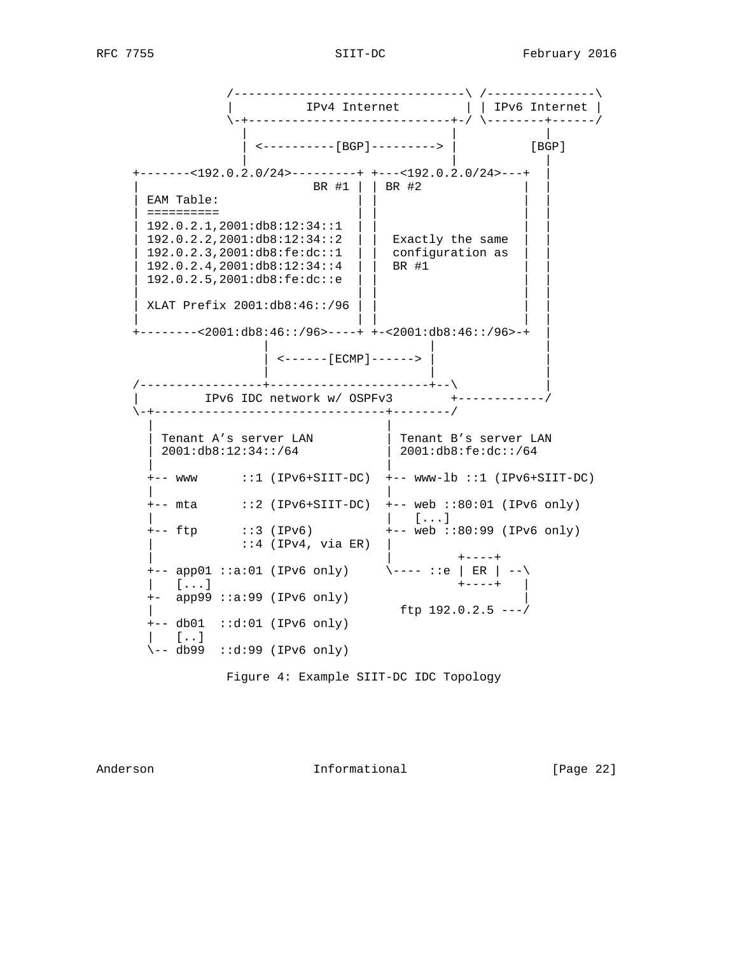/--------------------------------\ /---------------\ | IPv4 Internet | | IPv6 Internet | \-+----------------------------+-/ \--------+------/ | | | | <----------[BGP]---------> | [BGP] | | | +-------<192.0.2.0/24>---------+ +---<192.0.2.0/24>---+ | | BR #1 | | BR #2  $EAM$  Table: | ========== | | | | | 192.0.2.1,2001:db8:12:34::1 | | | |  $192.0.2.2, 2001: db8:12:34::2$  | Exactly the same | 192.0.2.3,2001:db8:fe:dc::1 | | configuration as | | | 192.0.2.4,2001:db8:12:34::4 | | BR #1 | | | 192.0.2.5,2001:db8:fe:dc::e | | | | | | | | | | XLAT Prefix 2001:db8:46::/96 | | | | | | | | | +--------<2001:db8:46::/96>----+ +-<2001:db8:46::/96>-+ | | | | | <------[ECMP]------> | | | | | /-----------------+----------------------+--\ | | IPv6 IDC network w/ OSPFv3 +------------/ \-+--------------------------------+--------/ | | | Tenant A's server LAN | Tenant B's server LAN | 2001:db8:12:34::/64 | 2001:db8:fe:dc::/64 | | +-- www ::1 (IPv6+SIIT-DC) +-- www-lb ::1 (IPv6+SIIT-DC) | | +-- mta ::2 (IPv6+SIIT-DC) +-- web ::80:01 (IPv6 only) | | [...] +-- ftp ::3 (IPv6) +-- web ::80:99 (IPv6 only)  $::4$  (IPv4, via ER) | | +----+  $+--$  app01 ::a:01 (IPv6 only)  $\qquad \qquad \text{---} ::e \mid ER \mid --\setminus$  $\begin{bmatrix} 1 & 1 & 1 \end{bmatrix}$  +- app99 ::a:99 (IPv6 only) | ftp  $192.0.2.5$   $---/$  +-- db01 ::d:01 (IPv6 only)  $|$   $[$ ..]  $\sqrt{-}$  db99 ::d:99 (IPv6 only)

Figure 4: Example SIIT-DC IDC Topology

Anderson Informational [Page 22]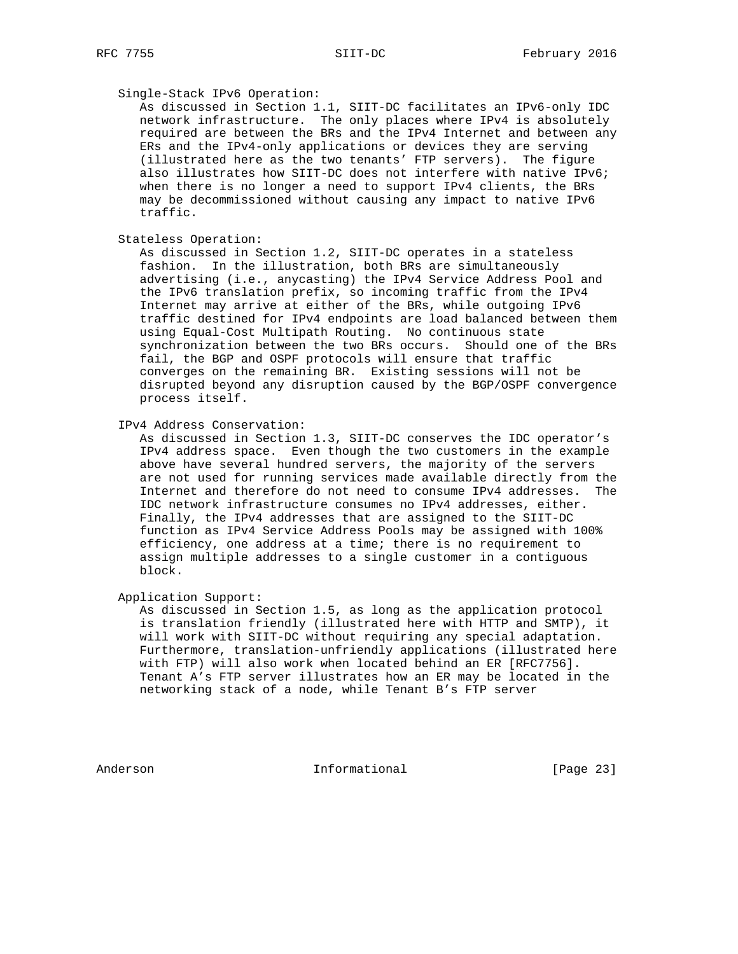### Single-Stack IPv6 Operation:

 As discussed in Section 1.1, SIIT-DC facilitates an IPv6-only IDC network infrastructure. The only places where IPv4 is absolutely required are between the BRs and the IPv4 Internet and between any ERs and the IPv4-only applications or devices they are serving (illustrated here as the two tenants' FTP servers). The figure also illustrates how SIIT-DC does not interfere with native IPv6; when there is no longer a need to support IPv4 clients, the BRs may be decommissioned without causing any impact to native IPv6 traffic.

Stateless Operation:

 As discussed in Section 1.2, SIIT-DC operates in a stateless fashion. In the illustration, both BRs are simultaneously advertising (i.e., anycasting) the IPv4 Service Address Pool and the IPv6 translation prefix, so incoming traffic from the IPv4 Internet may arrive at either of the BRs, while outgoing IPv6 traffic destined for IPv4 endpoints are load balanced between them using Equal-Cost Multipath Routing. No continuous state synchronization between the two BRs occurs. Should one of the BRs fail, the BGP and OSPF protocols will ensure that traffic converges on the remaining BR. Existing sessions will not be disrupted beyond any disruption caused by the BGP/OSPF convergence process itself.

IPv4 Address Conservation:

 As discussed in Section 1.3, SIIT-DC conserves the IDC operator's IPv4 address space. Even though the two customers in the example above have several hundred servers, the majority of the servers are not used for running services made available directly from the Internet and therefore do not need to consume IPv4 addresses. The IDC network infrastructure consumes no IPv4 addresses, either. Finally, the IPv4 addresses that are assigned to the SIIT-DC function as IPv4 Service Address Pools may be assigned with 100% efficiency, one address at a time; there is no requirement to assign multiple addresses to a single customer in a contiguous block.

Application Support:

 As discussed in Section 1.5, as long as the application protocol is translation friendly (illustrated here with HTTP and SMTP), it will work with SIIT-DC without requiring any special adaptation. Furthermore, translation-unfriendly applications (illustrated here with FTP) will also work when located behind an ER [RFC7756]. Tenant A's FTP server illustrates how an ER may be located in the networking stack of a node, while Tenant B's FTP server

Anderson **Informational Informational** [Page 23]